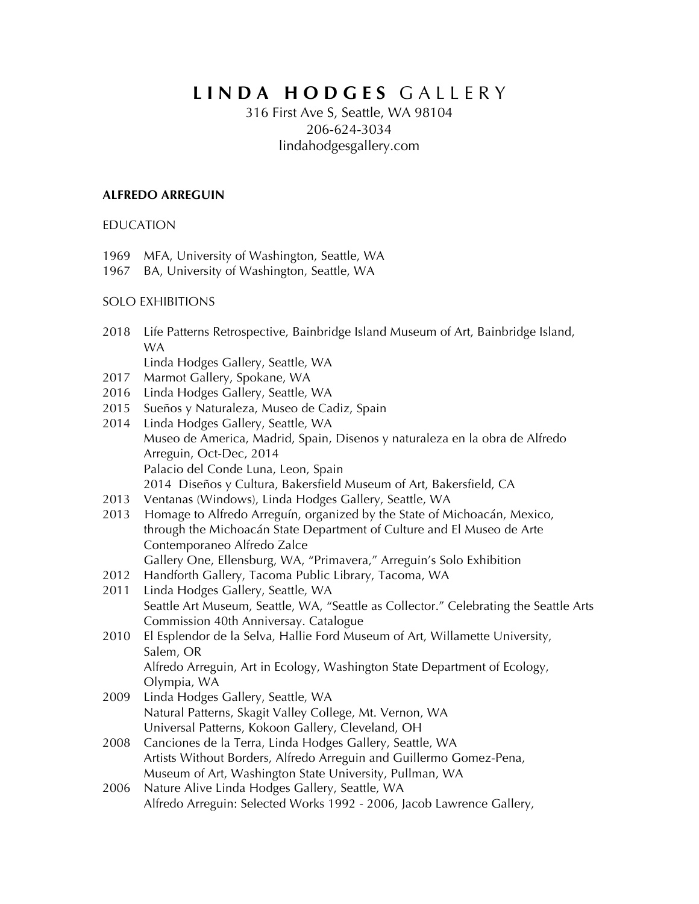# **L I N D A H O D G E S** G A L L E R Y

## 316 First Ave S, Seattle, WA 98104 206-624-3034 lindahodgesgallery.com

#### **ALFREDO ARREGUIN**

EDUCATION

1969 MFA, University of Washington, Seattle, WA

1967 BA, University of Washington, Seattle, WA

#### SOLO EXHIBITIONS

- 2018 Life Patterns Retrospective, Bainbridge Island Museum of Art, Bainbridge Island, WA Linda Hodges Gallery, Seattle, WA
- 2017 Marmot Gallery, Spokane, WA
- 2016 Linda Hodges Gallery, Seattle, WA
- 2015 Sueños y Naturaleza, Museo de Cadiz, Spain
- 2014 Linda Hodges Gallery, Seattle, WA Museo de America, Madrid, Spain, Disenos y naturaleza en la obra de Alfredo Arreguin, Oct-Dec, 2014 Palacio del Conde Luna, Leon, Spain 2014 Diseños y Cultura, Bakersfield Museum of Art, Bakersfield, CA
- 2013 Ventanas (Windows), Linda Hodges Gallery, Seattle, WA
- 2013 Homage to Alfredo Arreguín, organized by the State of Michoacán, Mexico, through the Michoacán State Department of Culture and El Museo de Arte Contemporaneo Alfredo Zalce Gallery One, Ellensburg, WA, "Primavera," Arreguin's Solo Exhibition
- 2012 Handforth Gallery, Tacoma Public Library, Tacoma, WA
- 2011 Linda Hodges Gallery, Seattle, WA Seattle Art Museum, Seattle, WA, "Seattle as Collector." Celebrating the Seattle Arts Commission 40th Anniversay. Catalogue
- 2010 El Esplendor de la Selva, Hallie Ford Museum of Art, Willamette University, Salem, OR Alfredo Arreguin, Art in Ecology, Washington State Department of Ecology, Olympia, WA
- 2009 Linda Hodges Gallery, Seattle, WA Natural Patterns, Skagit Valley College, Mt. Vernon, WA Universal Patterns, Kokoon Gallery, Cleveland, OH
- 2008 Canciones de la Terra, Linda Hodges Gallery, Seattle, WA Artists Without Borders, Alfredo Arreguin and Guillermo Gomez-Pena, Museum of Art, Washington State University, Pullman, WA
- 2006 Nature Alive Linda Hodges Gallery, Seattle, WA Alfredo Arreguin: Selected Works 1992 - 2006, Jacob Lawrence Gallery,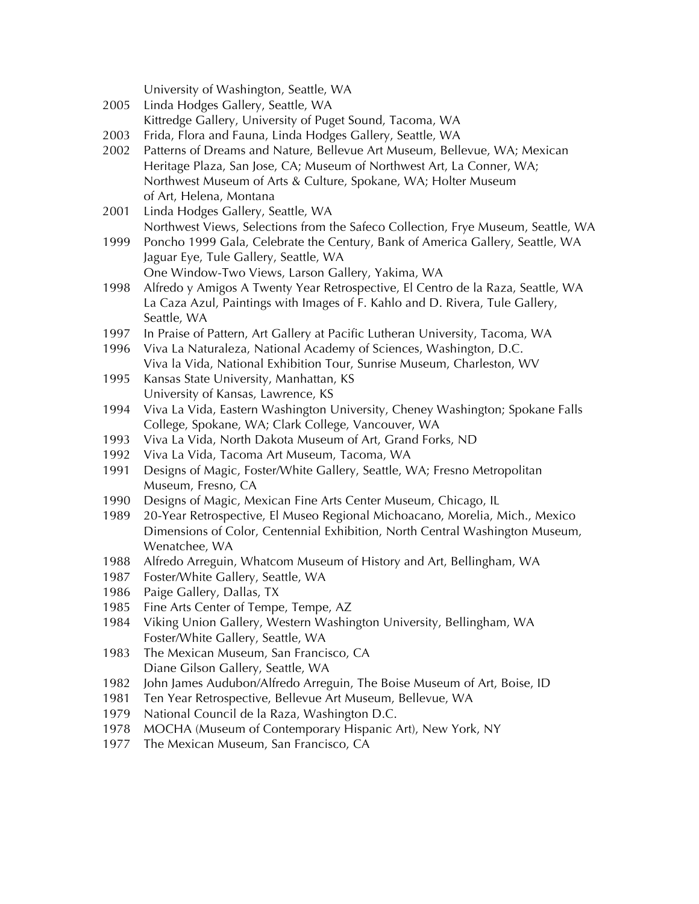University of Washington, Seattle, WA

- 2005 Linda Hodges Gallery, Seattle, WA Kittredge Gallery, University of Puget Sound, Tacoma, WA
- 2003 Frida, Flora and Fauna, Linda Hodges Gallery, Seattle, WA
- 2002 Patterns of Dreams and Nature, Bellevue Art Museum, Bellevue, WA; Mexican Heritage Plaza, San Jose, CA; Museum of Northwest Art, La Conner, WA; Northwest Museum of Arts & Culture, Spokane, WA; Holter Museum of Art, Helena, Montana
- 2001 Linda Hodges Gallery, Seattle, WA Northwest Views, Selections from the Safeco Collection, Frye Museum, Seattle, WA
- 1999 Poncho 1999 Gala, Celebrate the Century, Bank of America Gallery, Seattle, WA Jaguar Eye, Tule Gallery, Seattle, WA One Window-Two Views, Larson Gallery, Yakima, WA
- 1998 Alfredo y Amigos A Twenty Year Retrospective, El Centro de la Raza, Seattle, WA La Caza Azul, Paintings with Images of F. Kahlo and D. Rivera, Tule Gallery, Seattle, WA
- 1997 In Praise of Pattern, Art Gallery at Pacific Lutheran University, Tacoma, WA
- 1996 Viva La Naturaleza, National Academy of Sciences, Washington, D.C. Viva la Vida, National Exhibition Tour, Sunrise Museum, Charleston, WV
- 1995 Kansas State University, Manhattan, KS University of Kansas, Lawrence, KS
- 1994 Viva La Vida, Eastern Washington University, Cheney Washington; Spokane Falls College, Spokane, WA; Clark College, Vancouver, WA
- 1993 Viva La Vida, North Dakota Museum of Art, Grand Forks, ND
- 1992 Viva La Vida, Tacoma Art Museum, Tacoma, WA
- 1991 Designs of Magic, Foster/White Gallery, Seattle, WA; Fresno Metropolitan Museum, Fresno, CA
- 1990 Designs of Magic, Mexican Fine Arts Center Museum, Chicago, IL
- 1989 20-Year Retrospective, El Museo Regional Michoacano, Morelia, Mich., Mexico Dimensions of Color, Centennial Exhibition, North Central Washington Museum, Wenatchee, WA
- 1988 Alfredo Arreguin, Whatcom Museum of History and Art, Bellingham, WA
- 1987 Foster/White Gallery, Seattle, WA
- 1986 Paige Gallery, Dallas, TX
- 1985 Fine Arts Center of Tempe, Tempe, AZ
- 1984 Viking Union Gallery, Western Washington University, Bellingham, WA Foster/White Gallery, Seattle, WA
- 1983 The Mexican Museum, San Francisco, CA Diane Gilson Gallery, Seattle, WA
- 1982 John James Audubon/Alfredo Arreguin, The Boise Museum of Art, Boise, ID
- 1981 Ten Year Retrospective, Bellevue Art Museum, Bellevue, WA
- 1979 National Council de la Raza, Washington D.C.
- 1978 MOCHA (Museum of Contemporary Hispanic Art), New York, NY
- 1977 The Mexican Museum, San Francisco, CA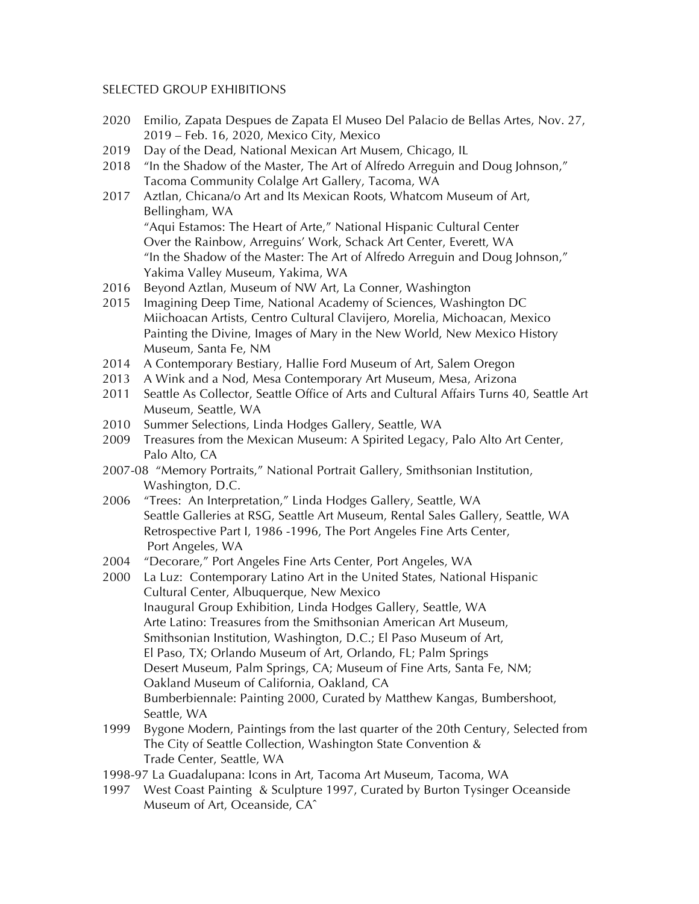#### SELECTED GROUP EXHIBITIONS

- 2020 Emilio, Zapata Despues de Zapata El Museo Del Palacio de Bellas Artes, Nov. 27, 2019 – Feb. 16, 2020, Mexico City, Mexico
- 2019 Day of the Dead, National Mexican Art Musem, Chicago, IL
- 2018 "In the Shadow of the Master, The Art of Alfredo Arreguin and Doug Johnson," Tacoma Community Colalge Art Gallery, Tacoma, WA
- 2017 Aztlan, Chicana/o Art and Its Mexican Roots, Whatcom Museum of Art, Bellingham, WA "Aqui Estamos: The Heart of Arte," National Hispanic Cultural Center Over the Rainbow, Arreguins' Work, Schack Art Center, Everett, WA
	- "In the Shadow of the Master: The Art of Alfredo Arreguin and Doug Johnson," Yakima Valley Museum, Yakima, WA
- 2016 Beyond Aztlan, Museum of NW Art, La Conner, Washington
- 2015 Imagining Deep Time, National Academy of Sciences, Washington DC Miichoacan Artists, Centro Cultural Clavijero, Morelia, Michoacan, Mexico Painting the Divine, Images of Mary in the New World, New Mexico History Museum, Santa Fe, NM
- 2014 A Contemporary Bestiary, Hallie Ford Museum of Art, Salem Oregon
- 2013 A Wink and a Nod, Mesa Contemporary Art Museum, Mesa, Arizona
- 2011 Seattle As Collector, Seattle Office of Arts and Cultural Affairs Turns 40, Seattle Art Museum, Seattle, WA
- 2010 Summer Selections, Linda Hodges Gallery, Seattle, WA
- 2009 Treasures from the Mexican Museum: A Spirited Legacy, Palo Alto Art Center, Palo Alto, CA
- 2007-08 "Memory Portraits," National Portrait Gallery, Smithsonian Institution, Washington, D.C.
- 2006 "Trees: An Interpretation," Linda Hodges Gallery, Seattle, WA Seattle Galleries at RSG, Seattle Art Museum, Rental Sales Gallery, Seattle, WA Retrospective Part I, 1986 -1996, The Port Angeles Fine Arts Center, Port Angeles, WA
- 2004 "Decorare," Port Angeles Fine Arts Center, Port Angeles, WA
- 2000 La Luz: Contemporary Latino Art in the United States, National Hispanic Cultural Center, Albuquerque, New Mexico Inaugural Group Exhibition, Linda Hodges Gallery, Seattle, WA Arte Latino: Treasures from the Smithsonian American Art Museum, Smithsonian Institution, Washington, D.C.; El Paso Museum of Art, El Paso, TX; Orlando Museum of Art, Orlando, FL; Palm Springs Desert Museum, Palm Springs, CA; Museum of Fine Arts, Santa Fe, NM; Oakland Museum of California, Oakland, CA Bumberbiennale: Painting 2000, Curated by Matthew Kangas, Bumbershoot, Seattle, WA
- 1999 Bygone Modern, Paintings from the last quarter of the 20th Century, Selected from The City of Seattle Collection, Washington State Convention & Trade Center, Seattle, WA
- 1998-97 La Guadalupana: Icons in Art, Tacoma Art Museum, Tacoma, WA
- 1997 West Coast Painting & Sculpture 1997, Curated by Burton Tysinger Oceanside Museum of Art, Oceanside, CAˆ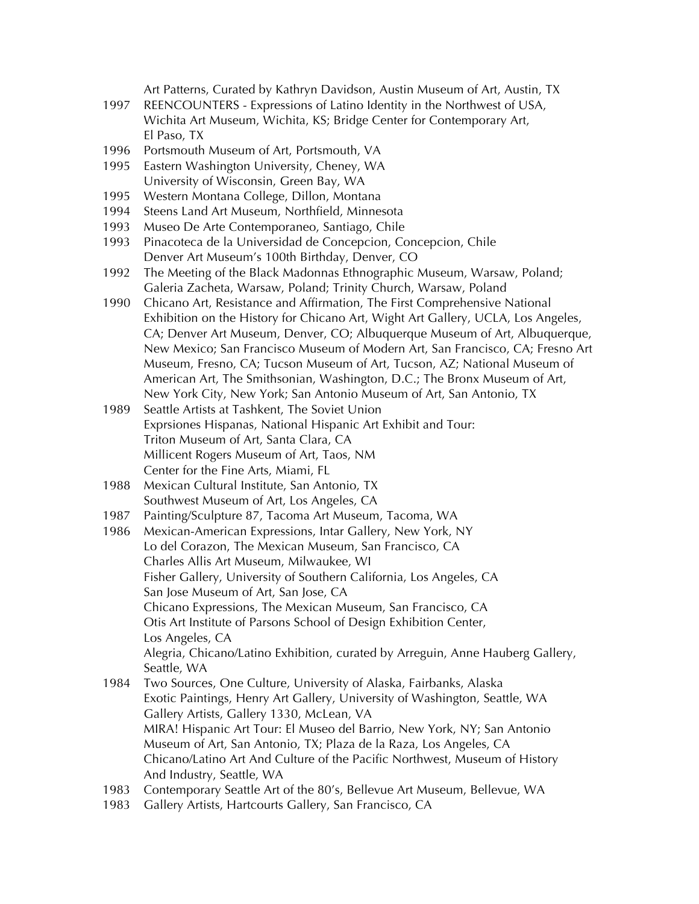Art Patterns, Curated by Kathryn Davidson, Austin Museum of Art, Austin, TX

- 1997 REENCOUNTERS Expressions of Latino Identity in the Northwest of USA, Wichita Art Museum, Wichita, KS; Bridge Center for Contemporary Art, El Paso, TX
- 1996 Portsmouth Museum of Art, Portsmouth, VA
- 1995 Eastern Washington University, Cheney, WA University of Wisconsin, Green Bay, WA
- 1995 Western Montana College, Dillon, Montana
- 1994 Steens Land Art Museum, Northfield, Minnesota
- 1993 Museo De Arte Contemporaneo, Santiago, Chile
- 1993 Pinacoteca de la Universidad de Concepcion, Concepcion, Chile Denver Art Museum's 100th Birthday, Denver, CO
- 1992 The Meeting of the Black Madonnas Ethnographic Museum, Warsaw, Poland; Galeria Zacheta, Warsaw, Poland; Trinity Church, Warsaw, Poland
- 1990 Chicano Art, Resistance and Affirmation, The First Comprehensive National Exhibition on the History for Chicano Art, Wight Art Gallery, UCLA, Los Angeles, CA; Denver Art Museum, Denver, CO; Albuquerque Museum of Art, Albuquerque, New Mexico; San Francisco Museum of Modern Art, San Francisco, CA; Fresno Art Museum, Fresno, CA; Tucson Museum of Art, Tucson, AZ; National Museum of American Art, The Smithsonian, Washington, D.C.; The Bronx Museum of Art, New York City, New York; San Antonio Museum of Art, San Antonio, TX
- 1989 Seattle Artists at Tashkent, The Soviet Union Exprsiones Hispanas, National Hispanic Art Exhibit and Tour: Triton Museum of Art, Santa Clara, CA Millicent Rogers Museum of Art, Taos, NM Center for the Fine Arts, Miami, FL
- 1988 Mexican Cultural Institute, San Antonio, TX Southwest Museum of Art, Los Angeles, CA
- 1987 Painting/Sculpture 87, Tacoma Art Museum, Tacoma, WA
- 1986 Mexican-American Expressions, Intar Gallery, New York, NY Lo del Corazon, The Mexican Museum, San Francisco, CA Charles Allis Art Museum, Milwaukee, WI Fisher Gallery, University of Southern California, Los Angeles, CA San Jose Museum of Art, San Jose, CA Chicano Expressions, The Mexican Museum, San Francisco, CA Otis Art Institute of Parsons School of Design Exhibition Center, Los Angeles, CA Alegria, Chicano/Latino Exhibition, curated by Arreguin, Anne Hauberg Gallery, Seattle, WA
- 1984 Two Sources, One Culture, University of Alaska, Fairbanks, Alaska Exotic Paintings, Henry Art Gallery, University of Washington, Seattle, WA Gallery Artists, Gallery 1330, McLean, VA MIRA! Hispanic Art Tour: El Museo del Barrio, New York, NY; San Antonio Museum of Art, San Antonio, TX; Plaza de la Raza, Los Angeles, CA Chicano/Latino Art And Culture of the Pacific Northwest, Museum of History And Industry, Seattle, WA
- 1983 Contemporary Seattle Art of the 80's, Bellevue Art Museum, Bellevue, WA
- 1983 Gallery Artists, Hartcourts Gallery, San Francisco, CA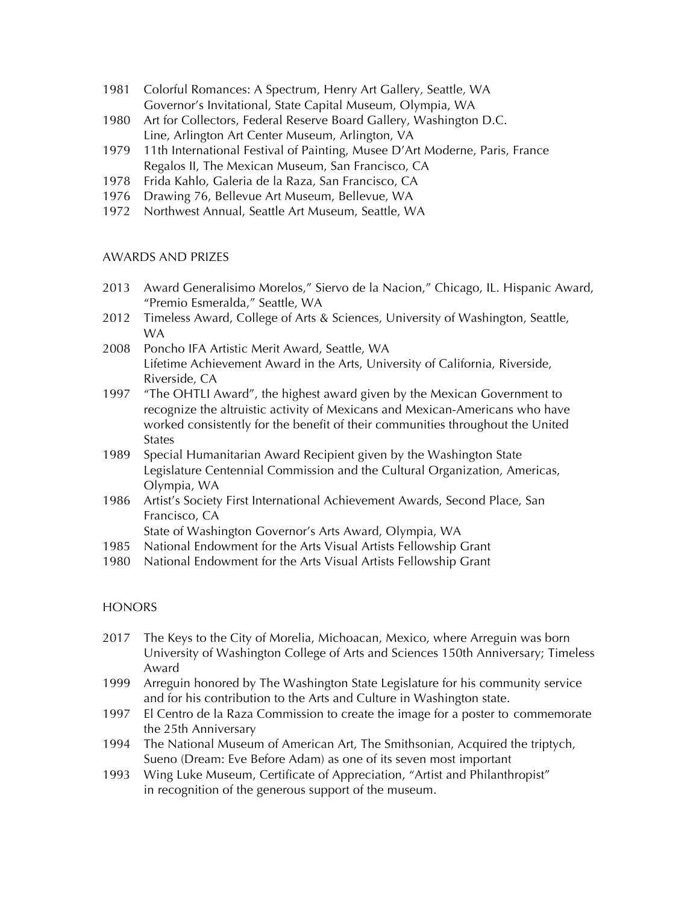- 1981 Colorful Romances: A Spectrum, Henry Art Gallery, Seattle, WA Governor's Invitational, State Capital Museum, Olympia, WA
- 1980 Art for Collectors, Federal Reserve Board Gallery, Washington D.C. Line, Arlington Art Center Museum, Arlington, VA
- 1979 11th International Festival of Painting, Musee D'Art Moderne, Paris, France Regalos II, The Mexican Museum, San Francisco, CA
- 1978 Frida Kahlo, Galeria de la Raza, San Francisco, CA
- 1976 Drawing 76, Bellevue Art Museum, Bellevue, WA
- 1972 Northwest Annual, Seattle Art Museum, Seattle, WA

#### AWARDS AND PRIZES

- 2013 Award Generalisimo Morelos," Siervo de la Nacion," Chicago, IL. Hispanic Award, "Premio Esmeralda," Seattle, WA
- 2012 Timeless Award, College of Arts & Sciences, University of Washington, Seattle, WA
- 2008 Poncho IFA Artistic Merit Award, Seattle, WA Lifetime Achievement Award in the Arts, University of California, Riverside, Riverside, CA
- 1997 "The OHTLI Award", the highest award given by the Mexican Government to recognize the altruistic activity of Mexicans and Mexican-Americans who have worked consistently for the benefit of their communities throughout the United States
- 1989 Special Humanitarian Award Recipient given by the Washington State Legislature Centennial Commission and the Cultural Organization, Americas, Olympia, WA
- 1986 Artist's Society First International Achievement Awards, Second Place, San Francisco, CA

State of Washington Governor's Arts Award, Olympia, WA

- 1985 National Endowment for the Arts Visual Artists Fellowship Grant
- 1980 National Endowment for the Arts Visual Artists Fellowship Grant

### **HONORS**

- 2017 The Keys to the City of Morelia, Michoacan, Mexico, where Arreguin was born University of Washington College of Arts and Sciences 150th Anniversary; Timeless Award
- 1999 Arreguin honored by The Washington State Legislature for his community service and for his contribution to the Arts and Culture in Washington state.
- 1997 El Centro de la Raza Commission to create the image for a poster to commemorate the 25th Anniversary
- 1994 The National Museum of American Art, The Smithsonian, Acquired the triptych, Sueno (Dream: Eve Before Adam) as one of its seven most important
- 1993 Wing Luke Museum, Certificate of Appreciation, "Artist and Philanthropist" in recognition of the generous support of the museum.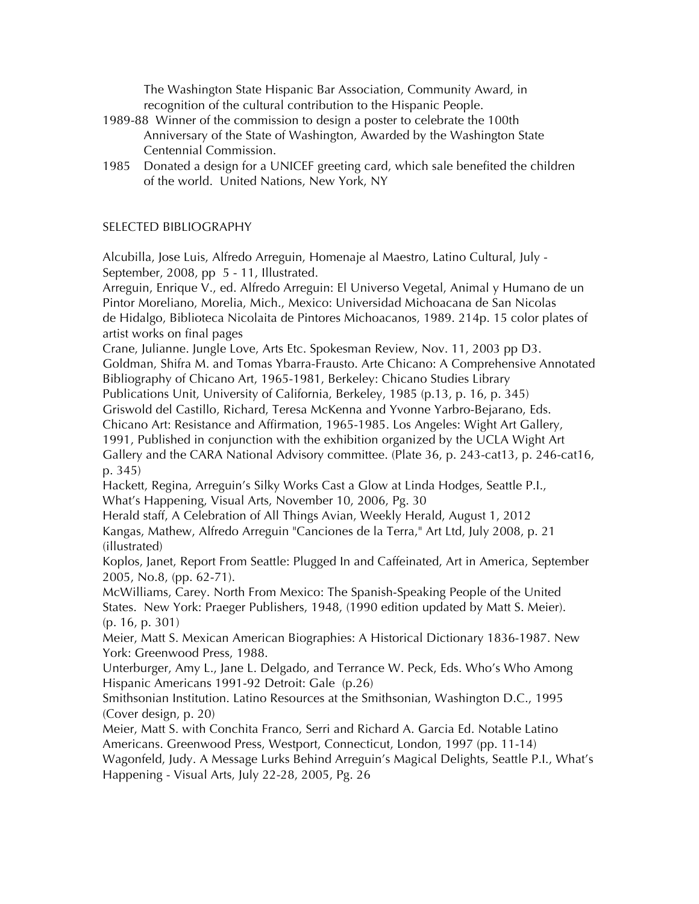The Washington State Hispanic Bar Association, Community Award, in recognition of the cultural contribution to the Hispanic People.

- 1989-88 Winner of the commission to design a poster to celebrate the 100th Anniversary of the State of Washington, Awarded by the Washington State Centennial Commission.
- 1985 Donated a design for a UNICEF greeting card, which sale benefited the children of the world. United Nations, New York, NY

#### SELECTED BIBLIOGRAPHY

Alcubilla, Jose Luis, Alfredo Arreguin, Homenaje al Maestro, Latino Cultural, July - September, 2008, pp 5 - 11, Illustrated.

Arreguin, Enrique V., ed. Alfredo Arreguin: El Universo Vegetal, Animal y Humano de un Pintor Moreliano, Morelia, Mich., Mexico: Universidad Michoacana de San Nicolas de Hidalgo, Biblioteca Nicolaita de Pintores Michoacanos, 1989. 214p. 15 color plates of artist works on final pages

Crane, Julianne. Jungle Love, Arts Etc. Spokesman Review, Nov. 11, 2003 pp D3.

Goldman, Shifra M. and Tomas Ybarra-Frausto. Arte Chicano: A Comprehensive Annotated Bibliography of Chicano Art, 1965-1981, Berkeley: Chicano Studies Library

Publications Unit, University of California, Berkeley, 1985 (p.13, p. 16, p. 345)

Griswold del Castillo, Richard, Teresa McKenna and Yvonne Yarbro-Bejarano, Eds.

Chicano Art: Resistance and Affirmation, 1965-1985. Los Angeles: Wight Art Gallery,

1991, Published in conjunction with the exhibition organized by the UCLA Wight Art

Gallery and the CARA National Advisory committee. (Plate 36, p. 243-cat13, p. 246-cat16, p. 345)

Hackett, Regina, Arreguin's Silky Works Cast a Glow at Linda Hodges, Seattle P.I., What's Happening, Visual Arts, November 10, 2006, Pg. 30

Herald staff, A Celebration of All Things Avian, Weekly Herald, August 1, 2012 Kangas, Mathew, Alfredo Arreguin "Canciones de la Terra," Art Ltd, July 2008, p. 21 (illustrated)

Koplos, Janet, Report From Seattle: Plugged In and Caffeinated, Art in America, September 2005, No.8, (pp. 62-71).

McWilliams, Carey. North From Mexico: The Spanish-Speaking People of the United States. New York: Praeger Publishers, 1948, (1990 edition updated by Matt S. Meier). (p. 16, p. 301)

Meier, Matt S. Mexican American Biographies: A Historical Dictionary 1836-1987. New York: Greenwood Press, 1988.

Unterburger, Amy L., Jane L. Delgado, and Terrance W. Peck, Eds. Who's Who Among Hispanic Americans 1991-92 Detroit: Gale (p.26)

Smithsonian Institution. Latino Resources at the Smithsonian, Washington D.C., 1995 (Cover design, p. 20)

Meier, Matt S. with Conchita Franco, Serri and Richard A. Garcia Ed. Notable Latino Americans. Greenwood Press, Westport, Connecticut, London, 1997 (pp. 11-14)

Wagonfeld, Judy. A Message Lurks Behind Arreguin's Magical Delights, Seattle P.I., What's Happening - Visual Arts, July 22-28, 2005, Pg. 26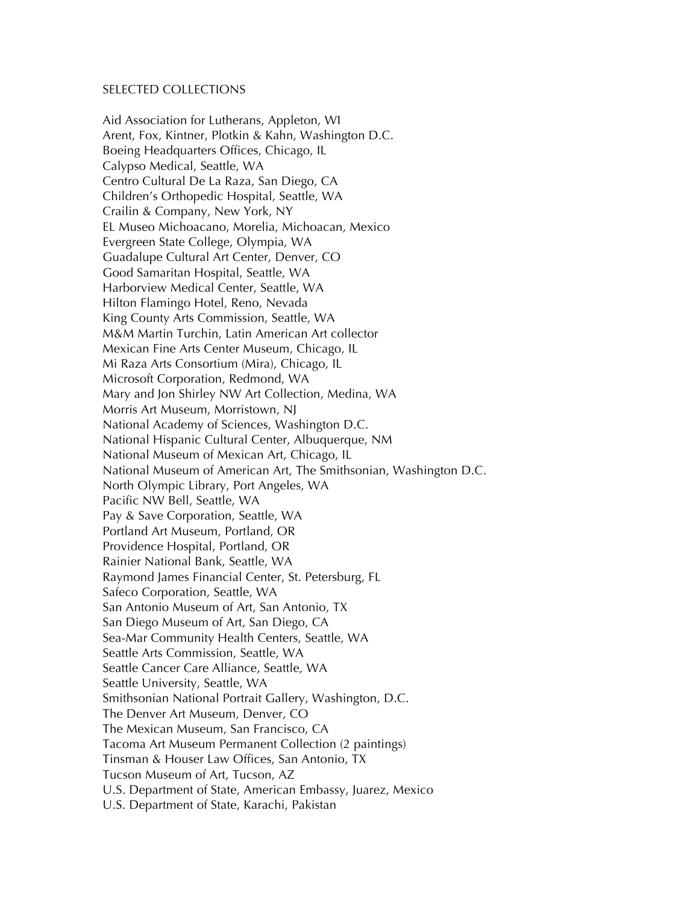#### SELECTED COLLECTIONS

Aid Association for Lutherans, Appleton, WI Arent, Fox, Kintner, Plotkin & Kahn, Washington D.C. Boeing Headquarters Offices, Chicago, IL Calypso Medical, Seattle, WA Centro Cultural De La Raza, San Diego, CA Children's Orthopedic Hospital, Seattle, WA Crailin & Company, New York, NY EL Museo Michoacano, Morelia, Michoacan, Mexico Evergreen State College, Olympia, WA Guadalupe Cultural Art Center, Denver, CO Good Samaritan Hospital, Seattle, WA Harborview Medical Center, Seattle, WA Hilton Flamingo Hotel, Reno, Nevada King County Arts Commission, Seattle, WA M&M Martin Turchin, Latin American Art collector Mexican Fine Arts Center Museum, Chicago, IL Mi Raza Arts Consortium (Mira), Chicago, IL Microsoft Corporation, Redmond, WA Mary and Jon Shirley NW Art Collection, Medina, WA Morris Art Museum, Morristown, NJ National Academy of Sciences, Washington D.C. National Hispanic Cultural Center, Albuquerque, NM National Museum of Mexican Art, Chicago, IL National Museum of American Art, The Smithsonian, Washington D.C. North Olympic Library, Port Angeles, WA Pacific NW Bell, Seattle, WA Pay & Save Corporation, Seattle, WA Portland Art Museum, Portland, OR Providence Hospital, Portland, OR Rainier National Bank, Seattle, WA Raymond James Financial Center, St. Petersburg, FL Safeco Corporation, Seattle, WA San Antonio Museum of Art, San Antonio, TX San Diego Museum of Art, San Diego, CA Sea-Mar Community Health Centers, Seattle, WA Seattle Arts Commission, Seattle, WA Seattle Cancer Care Alliance, Seattle, WA Seattle University, Seattle, WA Smithsonian National Portrait Gallery, Washington, D.C. The Denver Art Museum, Denver, CO The Mexican Museum, San Francisco, CA Tacoma Art Museum Permanent Collection (2 paintings) Tinsman & Houser Law Offices, San Antonio, TX Tucson Museum of Art, Tucson, AZ U.S. Department of State, American Embassy, Juarez, Mexico U.S. Department of State, Karachi, Pakistan